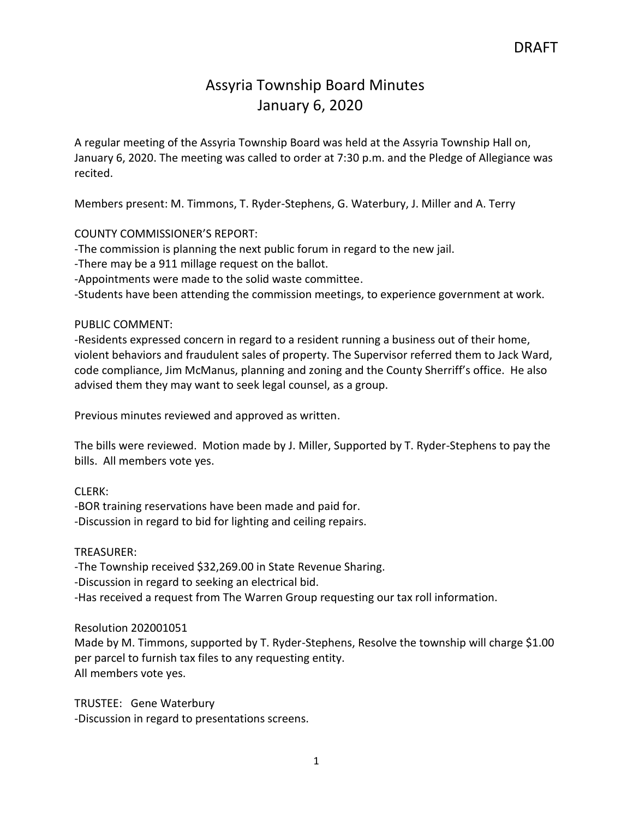## Assyria Township Board Minutes January 6, 2020

A regular meeting of the Assyria Township Board was held at the Assyria Township Hall on, January 6, 2020. The meeting was called to order at 7:30 p.m. and the Pledge of Allegiance was recited.

Members present: M. Timmons, T. Ryder-Stephens, G. Waterbury, J. Miller and A. Terry

## COUNTY COMMISSIONER'S REPORT:

-The commission is planning the next public forum in regard to the new jail.

-There may be a 911 millage request on the ballot.

-Appointments were made to the solid waste committee.

-Students have been attending the commission meetings, to experience government at work.

## PUBLIC COMMENT:

-Residents expressed concern in regard to a resident running a business out of their home, violent behaviors and fraudulent sales of property. The Supervisor referred them to Jack Ward, code compliance, Jim McManus, planning and zoning and the County Sherriff's office. He also advised them they may want to seek legal counsel, as a group.

Previous minutes reviewed and approved as written.

The bills were reviewed. Motion made by J. Miller, Supported by T. Ryder-Stephens to pay the bills. All members vote yes.

CLERK:

-BOR training reservations have been made and paid for. -Discussion in regard to bid for lighting and ceiling repairs.

#### TREASURER:

-The Township received \$32,269.00 in State Revenue Sharing.

-Discussion in regard to seeking an electrical bid.

-Has received a request from The Warren Group requesting our tax roll information.

#### Resolution 202001051

Made by M. Timmons, supported by T. Ryder-Stephens, Resolve the township will charge \$1.00 per parcel to furnish tax files to any requesting entity. All members vote yes.

TRUSTEE: Gene Waterbury -Discussion in regard to presentations screens.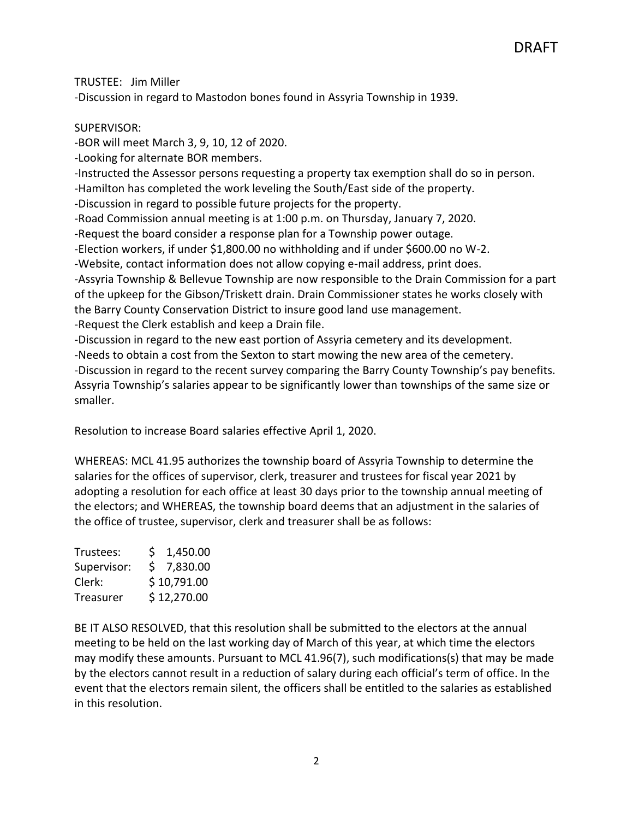DRAFT

TRUSTEE: Jim Miller -Discussion in regard to Mastodon bones found in Assyria Township in 1939.

## SUPERVISOR:

-BOR will meet March 3, 9, 10, 12 of 2020.

-Looking for alternate BOR members.

-Instructed the Assessor persons requesting a property tax exemption shall do so in person.

-Hamilton has completed the work leveling the South/East side of the property.

-Discussion in regard to possible future projects for the property.

-Road Commission annual meeting is at 1:00 p.m. on Thursday, January 7, 2020.

-Request the board consider a response plan for a Township power outage.

-Election workers, if under \$1,800.00 no withholding and if under \$600.00 no W-2.

-Website, contact information does not allow copying e-mail address, print does.

-Assyria Township & Bellevue Township are now responsible to the Drain Commission for a part of the upkeep for the Gibson/Triskett drain. Drain Commissioner states he works closely with the Barry County Conservation District to insure good land use management. -Request the Clerk establish and keep a Drain file.

-Discussion in regard to the new east portion of Assyria cemetery and its development.

-Needs to obtain a cost from the Sexton to start mowing the new area of the cemetery. -Discussion in regard to the recent survey comparing the Barry County Township's pay benefits. Assyria Township's salaries appear to be significantly lower than townships of the same size or smaller.

Resolution to increase Board salaries effective April 1, 2020.

WHEREAS: MCL 41.95 authorizes the township board of Assyria Township to determine the salaries for the offices of supervisor, clerk, treasurer and trustees for fiscal year 2021 by adopting a resolution for each office at least 30 days prior to the township annual meeting of the electors; and WHEREAS, the township board deems that an adjustment in the salaries of the office of trustee, supervisor, clerk and treasurer shall be as follows:

| Trustees:   | \$1,450.00  |
|-------------|-------------|
| Supervisor: | \$7,830.00  |
| Clerk:      | \$10,791.00 |
| Treasurer   | \$12,270.00 |

BE IT ALSO RESOLVED, that this resolution shall be submitted to the electors at the annual meeting to be held on the last working day of March of this year, at which time the electors may modify these amounts. Pursuant to MCL 41.96(7), such modifications(s) that may be made by the electors cannot result in a reduction of salary during each official's term of office. In the event that the electors remain silent, the officers shall be entitled to the salaries as established in this resolution.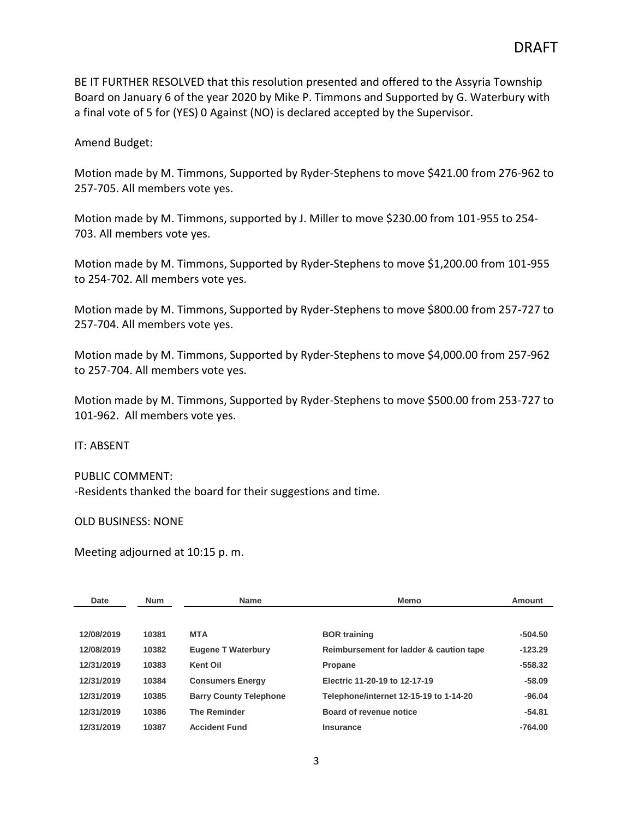BE IT FURTHER RESOLVED that this resolution presented and offered to the Assyria Township Board on January 6 of the year 2020 by Mike P. Timmons and Supported by G. Waterbury with a final vote of 5 for (YES) 0 Against (NO) is declared accepted by the Supervisor.

Amend Budget:

Motion made by M. Timmons, Supported by Ryder-Stephens to move \$421.00 from 276-962 to 257-705. All members vote yes.

Motion made by M. Timmons, supported by J. Miller to move \$230.00 from 101-955 to 254- 703. All members vote yes.

Motion made by M. Timmons, Supported by Ryder-Stephens to move \$1,200.00 from 101-955 to 254-702. All members vote yes.

Motion made by M. Timmons, Supported by Ryder-Stephens to move \$800.00 from 257-727 to 257-704. All members vote yes.

Motion made by M. Timmons, Supported by Ryder-Stephens to move \$4,000.00 from 257-962 to 257-704. All members vote yes.

Motion made by M. Timmons, Supported by Ryder-Stephens to move \$500.00 from 253-727 to 101-962. All members vote yes.

IT: ABSENT

PUBLIC COMMENT: -Residents thanked the board for their suggestions and time.

OLD BUSINESS: NONE

Meeting adjourned at 10:15 p. m.

| Date       | <b>Num</b> | <b>Name</b>                   | <b>Memo</b>                             | <b>Amount</b> |
|------------|------------|-------------------------------|-----------------------------------------|---------------|
|            |            |                               |                                         |               |
| 12/08/2019 | 10381      | <b>MTA</b>                    | <b>BOR</b> training                     | $-504.50$     |
| 12/08/2019 | 10382      | <b>Eugene T Waterbury</b>     | Reimbursement for ladder & caution tape | $-123.29$     |
| 12/31/2019 | 10383      | Kent Oil                      | Propane                                 | $-558.32$     |
| 12/31/2019 | 10384      | <b>Consumers Energy</b>       | Electric 11-20-19 to 12-17-19           | $-58.09$      |
| 12/31/2019 | 10385      | <b>Barry County Telephone</b> | Telephone/internet 12-15-19 to 1-14-20  | $-96.04$      |
| 12/31/2019 | 10386      | <b>The Reminder</b>           | Board of revenue notice                 | $-54.81$      |
| 12/31/2019 | 10387      | <b>Accident Fund</b>          | Insurance                               | $-764.00$     |
|            |            |                               |                                         |               |